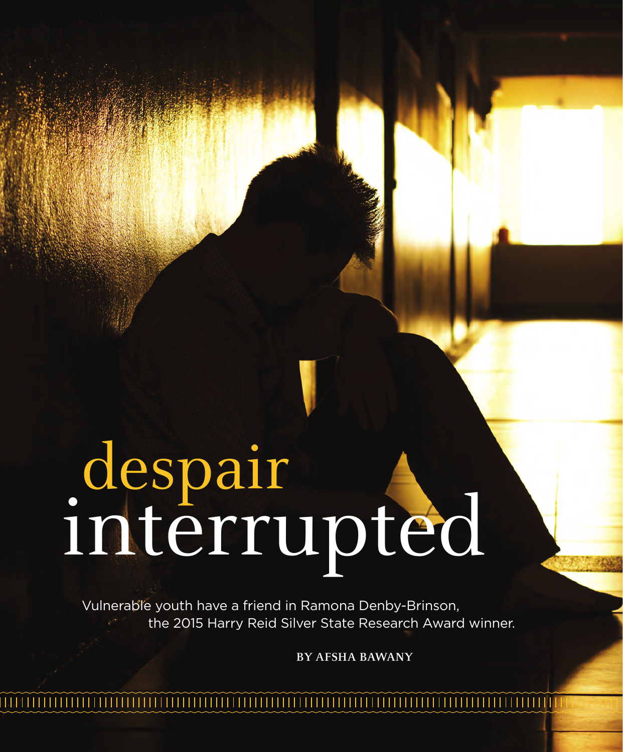## despair interrupted

Vulnerable youth have a friend in Ramona Denby-Brinson, the 2015 Harry Reid Silver State Research Award winner.

**10** / INNOVATION 2015

**BY AFSHA BAWANY**

AARON MAYES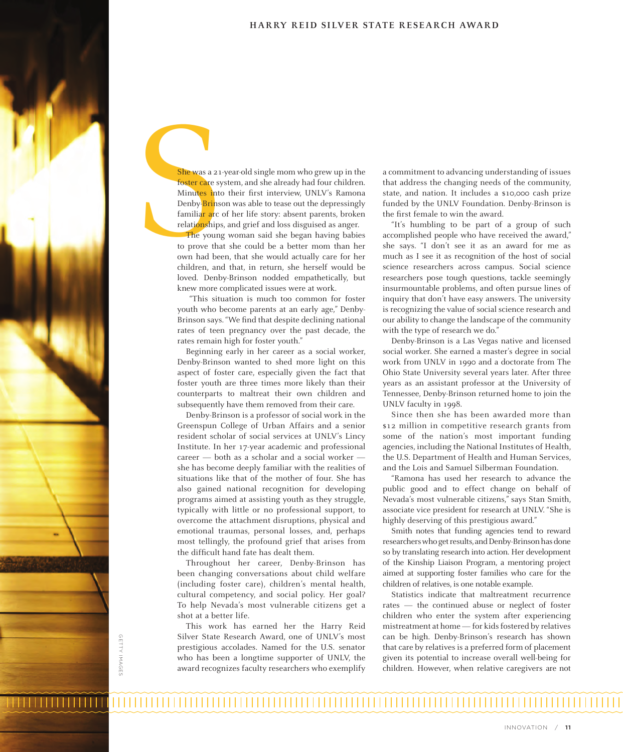She was a 21-y<br>
foster care sys<br>
Minutes into<br>
Denby-Brinson<br>
familiar arc of<br>
relationships,<br>
The young<br>
to prove that<br>
children, and<br>
loyed Dophy She was a 21-year-old single mom who grew up in the foster care system, and she already had four children. Minutes into their first interview, UNLV's Ramona Denby-Brinson was able to tease out the depressingly familiar arc of her life story: absent parents, broken relationships, and grief and loss disguised as anger.

The young woman said she began having babies to prove that she could be a better mom than her own had been, that she would actually care for her children, and that, in return, she herself would be loved. Denby-Brinson nodded empathetically, but knew more complicated issues were at work.

 "This situation is much too common for foster youth who become parents at an early age," Denby-Brinson says. "We find that despite declining national rates of teen pregnancy over the past decade, the rates remain high for foster youth."

Beginning early in her career as a social worker, Denby-Brinson wanted to shed more light on this aspect of foster care, especially given the fact that foster youth are three times more likely than their counterparts to maltreat their own children and subsequently have them removed from their care.

Denby-Brinson is a professor of social work in the Greenspun College of Urban Affairs and a senior resident scholar of social services at UNLV's Lincy Institute. In her 17-year academic and professional career — both as a scholar and a social worker she has become deeply familiar with the realities of situations like that of the mother of four. She has also gained national recognition for developing programs aimed at assisting youth as they struggle, typically with little or no professional support, to overcome the attachment disruptions, physical and emotional traumas, personal losses, and, perhaps most tellingly, the profound grief that arises from the difficult hand fate has dealt them.

Throughout her career, Denby-Brinson has been changing conversations about child welfare (including foster care), children's mental health, cultural competency, and social policy. Her goal? To help Nevada's most vulnerable citizens get a shot at a better life.

This work has earned her the Harry Reid Silver State Research Award, one of UNLV's most prestigious accolades. Named for the U.S. senator who has been a longtime supporter of UNLV, the award recognizes faculty researchers who exemplify

GETTY IMAGES GETTY IMAGES

a commitment to advancing understanding of issues that address the changing needs of the community, state, and nation. It includes a \$10,000 cash prize funded by the UNLV Foundation. Denby-Brinson is the first female to win the award.

"It's humbling to be part of a group of such accomplished people who have received the award," she says. "I don't see it as an award for me as much as I see it as recognition of the host of social science researchers across campus. Social science researchers pose tough questions, tackle seemingly insurmountable problems, and often pursue lines of inquiry that don't have easy answers. The university is recognizing the value of social science research and our ability to change the landscape of the community with the type of research we do."

Denby-Brinson is a Las Vegas native and licensed social worker. She earned a master's degree in social work from UNLV in 1990 and a doctorate from The Ohio State University several years later. After three years as an assistant professor at the University of Tennessee, Denby-Brinson returned home to join the UNLV faculty in 1998.

Since then she has been awarded more than \$12 million in competitive research grants from some of the nation's most important funding agencies, including the National Institutes of Health, the U.S. Department of Health and Human Services, and the Lois and Samuel Silberman Foundation.

"Ramona has used her research to advance the public good and to effect change on behalf of Nevada's most vulnerable citizens," says Stan Smith, associate vice president for research at UNLV. "She is highly deserving of this prestigious award."

Smith notes that funding agencies tend to reward researchers who get results, and Denby-Brinson has done so by translating research into action. Her development of the Kinship Liaison Program, a mentoring project aimed at supporting foster families who care for the children of relatives, is one notable example.

Statistics indicate that maltreatment recurrence rates — the continued abuse or neglect of foster children who enter the system after experiencing mistreatment at home — for kids fostered by relatives can be high. Denby-Brinson's research has shown that care by relatives is a preferred form of placement given its potential to increase overall well-being for children. However, when relative caregivers are not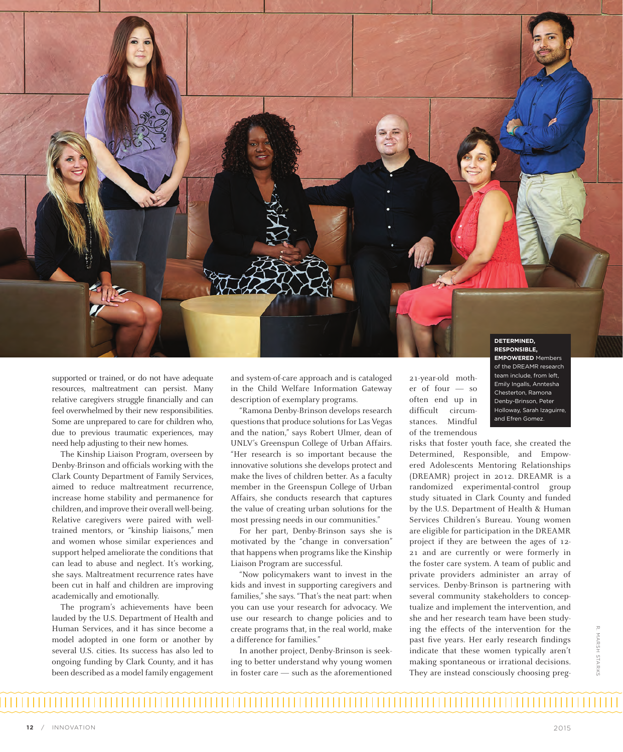

supported or trained, or do not have adequate resources, maltreatment can persist. Many relative caregivers struggle financially and can feel overwhelmed by their new responsibilities. Some are unprepared to care for children who, due to previous traumatic experiences, may need help adjusting to their new homes.

The Kinship Liaison Program, overseen by Denby-Brinson and officials working with the Clark County Department of Family Services, aimed to reduce maltreatment recurrence, increase home stability and permanence for children, and improve their overall well-being. Relative caregivers were paired with welltrained mentors, or "kinship liaisons," men and women whose similar experiences and support helped ameliorate the conditions that can lead to abuse and neglect. It's working, she says. Maltreatment recurrence rates have been cut in half and children are improving academically and emotionally.

The program's achievements have been lauded by the U.S. Department of Health and Human Services, and it has since become a model adopted in one form or another by several U.S. cities. Its success has also led to ongoing funding by Clark County, and it has been described as a model family engagement

and system-of-care approach and is cataloged in the Child Welfare Information Gateway description of exemplary programs.

"Ramona Denby-Brinson develops research questions that produce solutions for Las Vegas and the nation," says Robert Ulmer, dean of UNLV's Greenspun College of Urban Affairs. "Her research is so important because the innovative solutions she develops protect and make the lives of children better. As a faculty member in the Greenspun College of Urban Affairs, she conducts research that captures the value of creating urban solutions for the most pressing needs in our communities."

For her part, Denby-Brinson says she is motivated by the "change in conversation" that happens when programs like the Kinship Liaison Program are successful.

"Now policymakers want to invest in the kids and invest in supporting caregivers and families," she says. "That's the neat part: when you can use your research for advocacy. We use our research to change policies and to create programs that, in the real world, make a difference for families."

In another project, Denby-Brinson is seeking to better understand why young women in foster care — such as the aforementioned 21-year-old mother of four — so often end up in difficult circumstances. Mindful of the tremendous

risks that foster youth face, she created the Determined, Responsible, and Empowered Adolescents Mentoring Relationships (DREAMR) project in 2012. DREAMR is a randomized experimental-control group study situated in Clark County and funded by the U.S. Department of Health & Human Services Children's Bureau. Young women are eligible for participation in the DREAMR project if they are between the ages of 12- 21 and are currently or were formerly in the foster care system. A team of public and private providers administer an array of services. Denby-Brinson is partnering with several community stakeholders to conceptualize and implement the intervention, and she and her research team have been studying the effects of the intervention for the past five years. Her early research findings indicate that these women typically aren't making spontaneous or irrational decisions. They are instead consciously choosing preg-

of the DREAMR research team include, from left, Emily Ingalls, Anntesha Chesterton, Ramona Denby-Brinson, Peter Holloway, Sarah Izaguirre, and Efren Gomez.